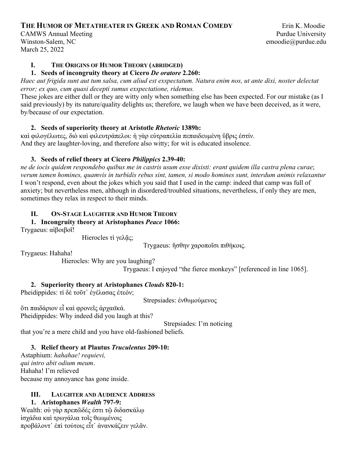# **THE HUMOR OF METATHEATER IN GREEK AND ROMAN COMEDY** Erin K. Moodie

CAMWS Annual Meeting **Pure and Accord Pure and Accord Pure Accord Pure Accord Pure Pure University** Winston-Salem, NC emoodie@purdue.edu March 25, 2022

## **I. THE ORIGINS OF HUMOR THEORY (ABRIDGED)**

#### **1. Seeds of incongruity theory at Cicero** *De oratore* **2.260:**

*Haec aut frigida sunt aut tum salsa, cum aliud est exspectatum. Natura enim nos, ut ante dixi, noster delectat error; ex quo, cum quasi decepti sumus exspectatione, ridemus.*

These jokes are either dull or they are witty only when something else has been expected. For our mistake (as I said previously) by its nature/quality delights us; therefore, we laugh when we have been deceived, as it were, by/because of our expectation.

## **2. Seeds of superiority theory at Aristotle** *Rhetoric* **1389b:**

καὶ φιλογέλωτες, διὸ καὶ φιλευτράπελοι: ἡ γὰρ εὐτραπελία πεπαιδευμένη ὕβρις ἐστίν. And they are laughter-loving, and therefore also witty; for wit is educated insolence.

## **3. Seeds of relief theory at Cicero** *Philippics* **2.39-40:**

*ne de iocis quidem respondebo quibus me in castris usum esse dixisti: erant quidem illa castra plena curae*; *verum tamen homines, quamvis in turbidis rebus sint, tamen, si modo homines sunt, interdum animis relaxantur* I won't respond, even about the jokes which you said that I used in the camp: indeed that camp was full of anxiety; but nevertheless men, although in disordered/troubled situations, nevertheless, if only they are men, sometimes they relax in respect to their minds.

## **II. ON-STAGE LAUGHTER AND HUMOR THEORY**

#### **1. Incongruity theory at Aristophanes** *Peace* **1066:**

Trygaeus: αἰβοιβοῖ!

Hierocles τὶ γελᾶς;

Trygaeus: ἥσθην χαροποῖσι πιθήκοις.

Trygaeus: Hahaha!

Hierocles: Why are you laughing?

Trygaeus: I enjoyed "the fierce monkeys" [referenced in line 1065].

## **2. Superiority theory at Aristophanes** *Clouds* **820-1:**

Pheidippides: τί δε τοῦτ' ἐγέλασας ἐτεόν;

Strepsiades: ἐνθυμούμενος

ὅτι παιδάριον εἶ καὶ φρονεῖς ἀρχαιϊκά. Pheidippides: Why indeed did you laugh at this?

Strepsiades: I'm noticing

that you're a mere child and you have old-fashioned beliefs.

## **3. Relief theory at Plautus** *Truculentus* **209-10:**

Astaphium: *hahahae! requievi, qui intro abit odium meum*. Hahaha! I'm relieved because my annoyance has gone inside.

#### **III. LAUGHTER AND AUDIENCE ADDRESS 1. Aristophanes** *Wealth* **797-9:**

Wealth: οὐ γὰρ πρεπῶδές ἐστι τῷ διδασκάλω ἰσχάδια καὶ τρωγάλια τοῖς θεωμένοις προβάλοντ᾽ ἐπὶ τούτοις εἶτ᾽ ἀνανκάζειν γελᾶν.